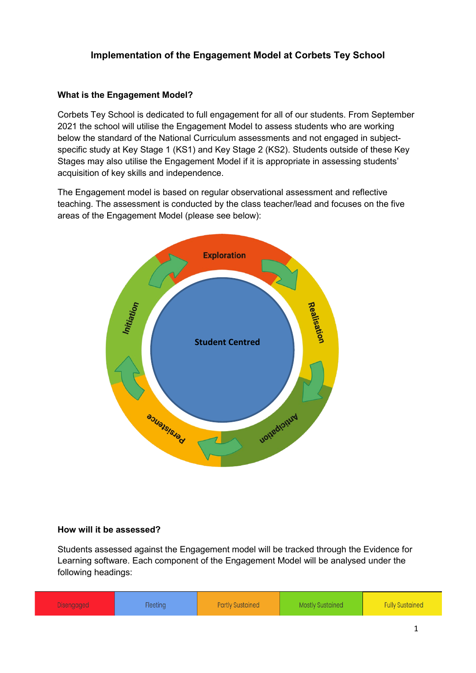# **Implementation of the Engagement Model at Corbets Tey School**

#### **What is the Engagement Model?**

Corbets Tey School is dedicated to full engagement for all of our students. From September 2021 the school will utilise the Engagement Model to assess students who are working below the standard of the National Curriculum assessments and not engaged in subjectspecific study at Key Stage 1 (KS1) and Key Stage 2 (KS2). Students outside of these Key Stages may also utilise the Engagement Model if it is appropriate in assessing students' acquisition of key skills and independence.

The Engagement model is based on regular observational assessment and reflective teaching. The assessment is conducted by the class teacher/lead and focuses on the five areas of the Engagement Model (please see below):



#### **How will it be assessed?**

Students assessed against the Engagement model will be tracked through the Evidence for Learning software. Each component of the Engagement Model will be analysed under the following headings:

| Disengageo | ieetind | <b>Partly Sustained</b> | Mostlv Sustained . | <b>Fully Sustained</b> |
|------------|---------|-------------------------|--------------------|------------------------|
|            |         |                         |                    |                        |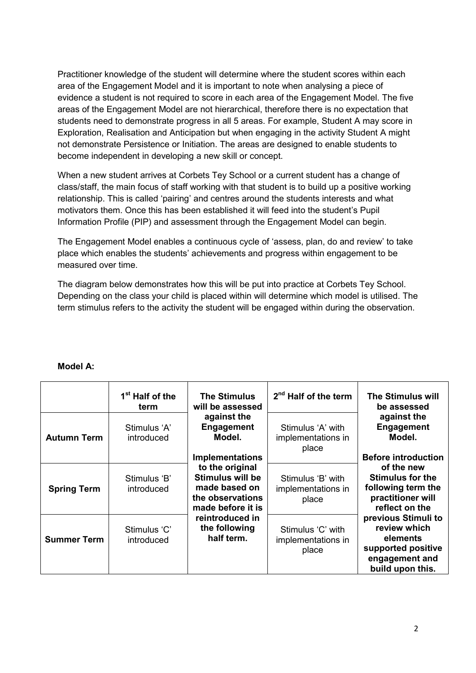Practitioner knowledge of the student will determine where the student scores within each area of the Engagement Model and it is important to note when analysing a piece of evidence a student is not required to score in each area of the Engagement Model. The five areas of the Engagement Model are not hierarchical, therefore there is no expectation that students need to demonstrate progress in all 5 areas. For example, Student A may score in Exploration, Realisation and Anticipation but when engaging in the activity Student A might not demonstrate Persistence or Initiation. The areas are designed to enable students to become independent in developing a new skill or concept.

When a new student arrives at Corbets Tey School or a current student has a change of class/staff, the main focus of staff working with that student is to build up a positive working relationship. This is called 'pairing' and centres around the students interests and what motivators them. Once this has been established it will feed into the student's Pupil Information Profile (PIP) and assessment through the Engagement Model can begin.

The Engagement Model enables a continuous cycle of 'assess, plan, do and review' to take place which enables the students' achievements and progress within engagement to be measured over time.

The diagram below demonstrates how this will be put into practice at Corbets Tey School. Depending on the class your child is placed within will determine which model is utilised. The term stimulus refers to the activity the student will be engaged within during the observation.

|                    | 1 <sup>st</sup> Half of the<br>term | <b>The Stimulus</b><br>will be assessed<br>against the<br><b>Engagement</b><br>Model.                                          | 2 <sup>nd</sup> Half of the term                 | <b>The Stimulus will</b><br>be assessed<br>against the<br><b>Engagement</b><br>Model.                                            |
|--------------------|-------------------------------------|--------------------------------------------------------------------------------------------------------------------------------|--------------------------------------------------|----------------------------------------------------------------------------------------------------------------------------------|
| <b>Autumn Term</b> | Stimulus 'A'<br>introduced          |                                                                                                                                | Stimulus 'A' with<br>implementations in<br>place |                                                                                                                                  |
| <b>Spring Term</b> | Stimulus 'B'<br>introduced          | <b>Implementations</b><br>to the original<br><b>Stimulus will be</b><br>made based on<br>the observations<br>made before it is | Stimulus 'B' with<br>implementations in<br>place | <b>Before introduction</b><br>of the new<br><b>Stimulus for the</b><br>following term the<br>practitioner will<br>reflect on the |
| <b>Summer Term</b> | Stimulus 'C'<br>introduced          | reintroduced in<br>the following<br>half term.                                                                                 | Stimulus 'C' with<br>implementations in<br>place | previous Stimuli to<br>review which<br>elements<br>supported positive<br>engagement and<br>build upon this.                      |

#### **Model A:**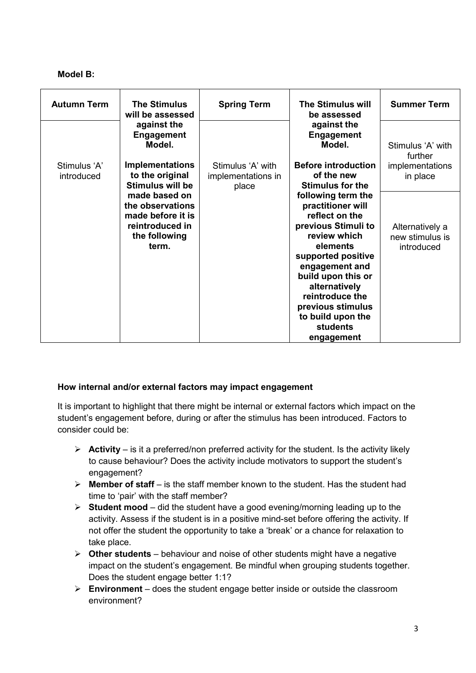### **Model B:**

| <b>Autumn Term</b> | <b>The Stimulus</b><br>will be assessed    | <b>Spring Term</b> | <b>The Stimulus will</b><br>be assessed    | <b>Summer Term</b>                 |
|--------------------|--------------------------------------------|--------------------|--------------------------------------------|------------------------------------|
|                    | against the<br><b>Engagement</b><br>Model. |                    | against the<br><b>Engagement</b><br>Model. | Stimulus 'A' with<br>further       |
| Stimulus 'A'       | <b>Implementations</b>                     | Stimulus 'A' with  | <b>Before introduction</b>                 | implementations                    |
| introduced         | to the original                            | implementations in | of the new                                 | in place                           |
|                    | <b>Stimulus will be</b>                    | place              | <b>Stimulus for the</b>                    |                                    |
|                    | made based on                              |                    | following term the                         |                                    |
|                    | the observations                           |                    | practitioner will                          |                                    |
|                    | made before it is<br>reintroduced in       |                    | reflect on the                             |                                    |
|                    | the following                              |                    | previous Stimuli to<br>review which        | Alternatively a<br>new stimulus is |
|                    | term.                                      |                    | elements                                   | introduced                         |
|                    |                                            |                    | supported positive                         |                                    |
|                    |                                            |                    | engagement and                             |                                    |
|                    |                                            |                    | build upon this or                         |                                    |
|                    |                                            |                    | alternatively                              |                                    |
|                    |                                            |                    | reintroduce the                            |                                    |
|                    |                                            |                    | previous stimulus                          |                                    |
|                    |                                            |                    | to build upon the                          |                                    |
|                    |                                            |                    | <b>students</b>                            |                                    |
|                    |                                            |                    | engagement                                 |                                    |

#### **How internal and/or external factors may impact engagement**

It is important to highlight that there might be internal or external factors which impact on the student's engagement before, during or after the stimulus has been introduced. Factors to consider could be:

- $\triangleright$  **Activity** is it a preferred/non preferred activity for the student. Is the activity likely to cause behaviour? Does the activity include motivators to support the student's engagement?
- $\triangleright$  **Member of staff** is the staff member known to the student. Has the student had time to 'pair' with the staff member?
- **Student mood**  did the student have a good evening/morning leading up to the activity. Assess if the student is in a positive mind-set before offering the activity. If not offer the student the opportunity to take a 'break' or a chance for relaxation to take place.
- **Other students**  behaviour and noise of other students might have a negative impact on the student's engagement. Be mindful when grouping students together. Does the student engage better 1:1?
- **Environment**  does the student engage better inside or outside the classroom environment?